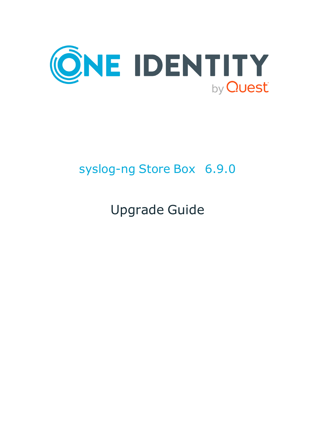

# syslog-ng Store Box 6.9.0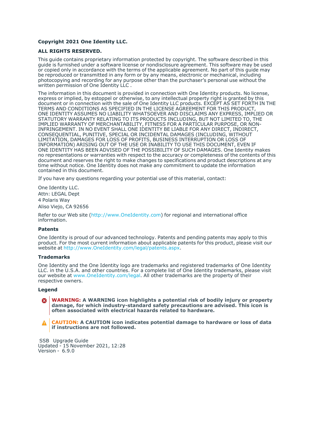#### **Copyright 2021 One Identity LLC.**

#### **ALL RIGHTS RESERVED.**

This guide contains proprietary information protected by copyright. The software described in this guide is furnished under a software license or nondisclosure agreement. This software may be used or copied only in accordance with the terms of the applicable agreement. No part of this guide may be reproduced or transmitted in any form or by any means, electronic or mechanical, including photocopying and recording for any purpose other than the purchaser's personal use without the written permission of One Identity LLC .

The information in this document is provided in connection with One Identity products. No license, express or implied, by estoppel or otherwise, to any intellectual property right is granted by this document or in connection with the sale of One Identity LLC products. EXCEPT AS SET FORTH IN THE TERMS AND CONDITIONS AS SPECIFIED IN THE LICENSE AGREEMENT FOR THIS PRODUCT, ONE IDENTITY ASSUMES NO LIABILITY WHATSOEVER AND DISCLAIMS ANY EXPRESS, IMPLIED OR STATUTORY WARRANTY RELATING TO ITS PRODUCTS INCLUDING, BUT NOT LIMITED TO, THE IMPLIED WARRANTY OF MERCHANTABILITY, FITNESS FOR A PARTICULAR PURPOSE, OR NON-INFRINGEMENT. IN NO EVENT SHALL ONE IDENTITY BE LIABLE FOR ANY DIRECT, INDIRECT, CONSEQUENTIAL, PUNITIVE, SPECIAL OR INCIDENTAL DAMAGES (INCLUDING, WITHOUT LIMITATION, DAMAGES FOR LOSS OF PROFITS, BUSINESS INTERRUPTION OR LOSS OF INFORMATION) ARISING OUT OF THE USE OR INABILITY TO USE THIS DOCUMENT, EVEN IF ONE IDENTITY HAS BEEN ADVISED OF THE POSSIBILITY OF SUCH DAMAGES. One Identity makes no representations or warranties with respect to the accuracy or completeness of the contents of this document and reserves the right to make changes to specifications and product descriptions at any time without notice. One Identity does not make any commitment to update the information contained in this document.

If you have any questions regarding your potential use of this material, contact:

One Identity LLC. Attn: LEGAL Dept 4 Polaris Way Aliso Viejo, CA 92656

Refer to our Web site [\(http://www.OneIdentity.com](http://www.oneidentity.com/)) for regional and international office information.

#### **Patents**

One Identity is proud of our advanced technology. Patents and pending patents may apply to this product. For the most current information about applicable patents for this product, please visit our website at [http://www.OneIdentity.com/legal/patents.aspx.](http://www.oneidentity.com/legal/patents.aspx)

#### **Trademarks**

One Identity and the One Identity logo are trademarks and registered trademarks of One Identity LLC. in the U.S.A. and other countries. For a complete list of One Identity trademarks, please visit our website at [www.OneIdentity.com/legal](http://www.oneidentity.com/legal). All other trademarks are the property of their respective owners.

#### **Legend**

**WARNING: A WARNING icon highlights a potential risk of bodily injury or property** œ **damage, for which industry-standard safety precautions are advised. This icon is often associated with electrical hazards related to hardware.**

**CAUTION: A CAUTION icon indicates potential damage to hardware or loss of data if instructions are not followed.**

 SSB Upgrade Guide Updated - 15 November 2021, 12:28 Version - 6.9.0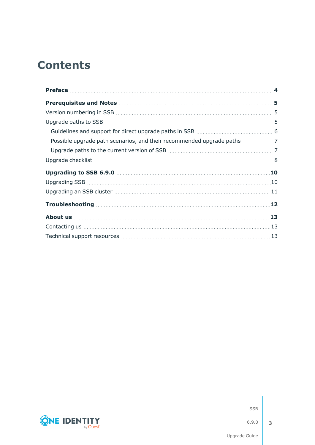# **Contents**

| 12 |
|----|
| 13 |
|    |
|    |



SSB

6.9.0

**3**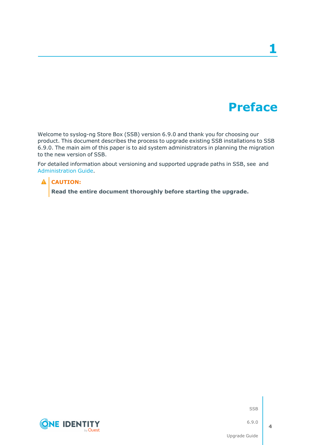# **Preface**

**1**

<span id="page-3-0"></span>Welcome to syslog-ng Store Box (SSB) version 6.9.0 and thank you for choosing our product. This document describes the process to upgrade existing SSB installations to SSB 6.9.0. The main aim of this paper is to aid system administrators in planning the migration to the new version of SSB.

For detailed information about versioning and supported upgrade paths in SSB, see and [Administration](https://support.oneidentity.com/technical-documents/syslog-ng-store-box/6.9.0/administration-guide//) Guide.

### **A** CAUTION:

**Read the entire document thoroughly before starting the upgrade.**



SSB

6.9.0

**4**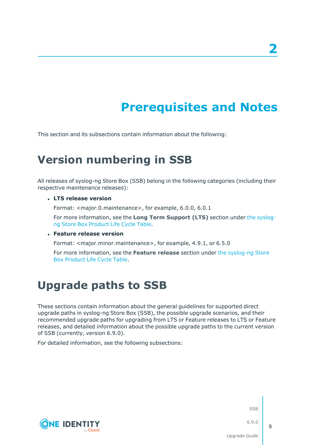# **Prerequisites and Notes**

<span id="page-4-1"></span><span id="page-4-0"></span>This section and its subsections contain information about the following:

# **Version numbering in SSB**

All releases of syslog-ng Store Box (SSB) belong in the following categories (including their respective maintenance releases):

<sup>l</sup> **LTS release version**

Format: <major.0.maintenance>, for example, 6.0.0, 6.0.1

For more information, see the **Long Term Support (LTS)** section under the [syslog](https://support.oneidentity.com/syslog-ng-store-box/lifecycle)ng Store Box [Product](https://support.oneidentity.com/syslog-ng-store-box/lifecycle) Life Cycle Table.

<sup>l</sup> **Feature release version**

Format: <major.minor.maintenance>, for example, 4.9.1, or 6.5.0

For more information, see the **Feature release** section under the [syslog-ng](https://support.oneidentity.com/syslog-ng-store-box/lifecycle) Store Box [Product](https://support.oneidentity.com/syslog-ng-store-box/lifecycle) Life Cycle Table.

## <span id="page-4-2"></span>**Upgrade paths to SSB**

These sections contain information about the general guidelines for supported direct upgrade paths in syslog-ng Store Box (SSB), the possible upgrade scenarios, and their recommended upgrade paths for upgrading from LTS or Feature releases to LTS or Feature releases, and detailed information about the possible upgrade paths to the current version of SSB (currently, version 6.9.0).

For detailed information, see the following subsections:



SSB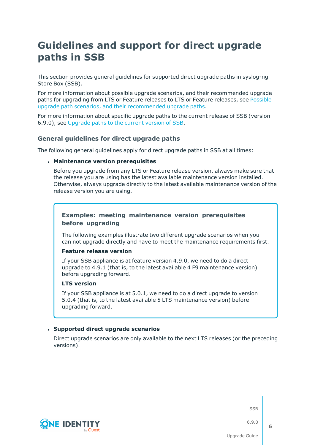### <span id="page-5-0"></span>**Guidelines and support for direct upgrade paths in SSB**

This section provides general guidelines for supported direct upgrade paths in syslog-ng Store Box (SSB).

For more information about possible upgrade scenarios, and their recommended upgrade paths for upgrading from LTS or Feature releases to LTS or Feature releases, see [Possible](#page-6-0) upgrade path scenarios, and their [recommended](#page-6-0) upgrade paths.

For more information about specific upgrade paths to the current release of SSB (version 6.9.0), see [Upgrade](#page-6-1) paths to the current version of SSB.

### **General guidelines for direct upgrade paths**

The following general guidelines apply for direct upgrade paths in SSB at all times:

#### <sup>l</sup> **Maintenance version prerequisites**

Before you upgrade from any LTS or Feature release version, always make sure that the release you are using has the latest available maintenance version installed. Otherwise, always upgrade directly to the latest available maintenance version of the release version you are using.

### **Examples: meeting maintenance version prerequisites before upgrading**

The following examples illustrate two different upgrade scenarios when you can not upgrade directly and have to meet the maintenance requirements first.

### **Feature release version**

If your SSB appliance is at feature version 4.9.0, we need to do a direct upgrade to 4.9.1 (that is, to the latest available 4 F9 maintenance version) before upgrading forward.

#### **LTS version**

If your SSB appliance is at 5.0.1, we need to do a direct upgrade to version 5.0.4 (that is, to the latest available 5 LTS maintenance version) before upgrading forward.

#### <sup>l</sup> **Supported direct upgrade scenarios**

Direct upgrade scenarios are only available to the next LTS releases (or the preceding versions).



SSB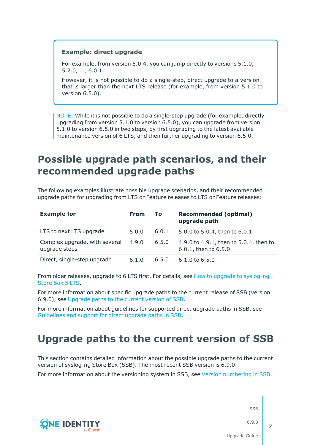### **Example: direct upgrade**

For example, from version 5.0.4, you can jump directly to versions 5.1.0, 5.2.0, ..., 6.0.1.

However, it is not possible to do a single-step, direct upgrade to a version that is larger than the next LTS release (for example, from version 5.1.0 to version 6.5.0).

NOTE: While it is not possible to do a single-step upgrade (for example, directly upgrading from version 5.1.0 to version 6.5.0), you can upgrade from version 5.1.0 to version 6.5.0 in two steps, by first upgrading to the latest available maintenance version of 6 LTS, and then further upgrading to version 6.5.0.

### <span id="page-6-0"></span>**Possible upgrade path scenarios, and their recommended upgrade paths**

The following examples illustrate possible upgrade scenarios, and their recommended upgrade paths for upgrading from LTS or Feature releases to LTS or Feature releases:

| <b>Example for</b>                             | <b>From</b> | <b>To</b> | <b>Recommended (optimal)</b><br>upgrade path                   |
|------------------------------------------------|-------------|-----------|----------------------------------------------------------------|
| LTS to next LTS upgrade                        | 5.0.0       | 6.0.1     | 5.0.0 to 5.0.4, then to 6.0.1                                  |
| Complex upgrade, with several<br>upgrade steps | 4.9.0       | 6.5.0     | 4.9.0 to 4.9.1, then to 5.0.4, then to<br>6.0.1, then to 6.5.0 |
| Direct, single-step upgrade                    | 6.1.0       | 6.5.0     | $6.1.0$ to $6.5.0$                                             |

From older releases, upgrade to 6 LTS first. For details, see How to upgrade to [syslog-ng](https://support.oneidentity.com/technical-documents/syslog-ng-store-box/6.0/upgrade-guide) [Store](https://support.oneidentity.com/technical-documents/syslog-ng-store-box/6.0/upgrade-guide) Box 5 LTS.

For more information about specific upgrade paths to the current release of SSB (version 6.9.0), see [Upgrade](#page-6-1) paths to the current version of SSB.

For more information about guidelines for supported direct upgrade paths in SSB, see [Guidelines](#page-5-0) and support for direct upgrade paths in SSB.

### <span id="page-6-1"></span>**Upgrade paths to the current version of SSB**

This section contains detailed information about the possible upgrade paths to the current version of syslog-ng Store Box (SSB). The most recent SSB version is 6.9.0.

For more information about the versioning system in SSB, see Version [numbering](#page-4-1) in SSB.

**CONE IDENTITY** 

SSB

6.9.0

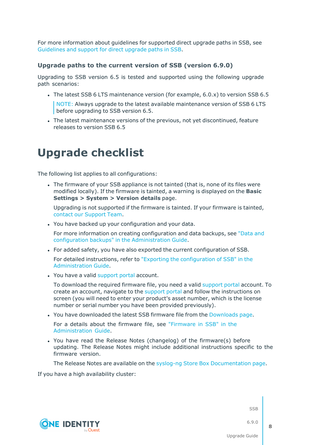For more information about guidelines for supported direct upgrade paths in SSB, see [Guidelines](#page-5-0) and support for direct upgrade paths in SSB.

### **Upgrade paths to the current version of SSB (version 6.9.0)**

Upgrading to SSB version 6.5 is tested and supported using the following upgrade path scenarios:

• The latest SSB 6 LTS maintenance version (for example,  $6.0 \times$ ) to version SSB 6.5

NOTE: Always upgrade to the latest available maintenance version of SSB 6 LTS before upgrading to SSB version 6.5.

The latest maintenance versions of the previous, not yet discontinued, feature releases to version SSB 6.5

## <span id="page-7-0"></span>**Upgrade checklist**

The following list applies to all configurations:

• The firmware of your SSB appliance is not tainted (that is, none of its files were modified locally). If the firmware is tainted, a warning is displayed on the **Basic Settings > System > Version details** page.

Upgrading is not supported if the firmware is tainted. If your firmware is tainted, contact our [Support](https://support.oneidentity.com/syslog-ng-store-box/) Team.

. You have backed up your configuration and your data.

For more information on creating configuration and data backups, see ["Data](https://support.oneidentity.com/technical-documents/syslog-ng-store-box/6.9.0/administration-guide/basic-settings/data-and-configuration-backups/) and configuration backups" in the [Administration](https://support.oneidentity.com/technical-documents/syslog-ng-store-box/6.9.0/administration-guide/basic-settings/data-and-configuration-backups/) Guide.

• For added safety, you have also exported the current configuration of SSB.

For detailed instructions, refer to "Exporting the [configuration](https://support.oneidentity.com/technical-documents/syslog-ng-store-box/6.9.0/administration-guide/managing-ssb/upgrading-ssb/exporting-the-configuration-of-ssb/) of SSB" in the [Administration](https://support.oneidentity.com/technical-documents/syslog-ng-store-box/6.9.0/administration-guide/managing-ssb/upgrading-ssb/exporting-the-configuration-of-ssb/) Guide.

. You have a valid [support](https://support.oneidentity.com/en-US/Login) portal account.

To download the required firmware file, you need a valid [support](https://support.oneidentity.com/en-US/Login) portal account. To create an account, navigate to the [support](https://support.oneidentity.com/en-US/Login) portal and follow the instructions on screen (you will need to enter your product's asset number, which is the license number or serial number you have been provided previously).

• You have downloaded the latest SSB firmware file from the [Downloads](https://support.oneidentity.com/syslog-ng-store-box/download-new-releases) page.

For a details about the firmware file, see ["Firmware](https://support.oneidentity.com/technical-documents/syslog-ng-store-box/6.9.0/administration-guide/the-concepts-of-ssb/firmware-in-ssb/) in SSB" in the [Administration](https://support.oneidentity.com/technical-documents/syslog-ng-store-box/6.9.0/administration-guide/the-concepts-of-ssb/firmware-in-ssb/) Guide.

• You have read the Release Notes (changelog) of the firmware(s) before updating. The Release Notes might include additional instructions specific to the firmware version.

The Release Notes are available on the syslog-ng Store Box [Documentation](https://support.oneidentity.com/syslog-ng-store-box/technical-documents) page.

If you have a high availability cluster:



SSB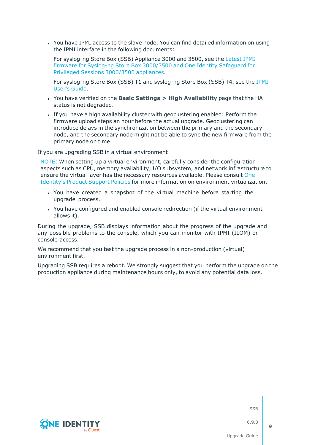• You have IPMI access to the slave node. You can find detailed information on using the IPMI interface in the following documents:

For syslog-ng Store Box (SSB) Appliance 3000 and 3500, see the [Latest](https://support.oneidentity.com/kb/312276/) IPMI firmware for Syslog-ng Store Box [3000/3500](https://support.oneidentity.com/kb/312276/) and One Identity Safeguard for Privileged Sessions [3000/3500](https://support.oneidentity.com/kb/312276/) appliances.

For syslog-ng Store Box (SSB) T1 and syslog-ng Store Box (SSB) T4, see the [IPMI](https://www.supermicro.com/manuals/other/IPMI_Users_Guide.pdf) [User's](https://www.supermicro.com/manuals/other/IPMI_Users_Guide.pdf) Guide.

- <sup>l</sup> You have verified on the **Basic Settings > High Availability** page that the HA status is not degraded.
- <sup>l</sup> If you have a high availability cluster with geoclustering enabled: Perform the firmware upload steps an hour before the actual upgrade. Geoclustering can introduce delays in the synchronization between the primary and the secondary node, and the secondary node might not be able to sync the new firmware from the primary node on time.

If you are upgrading SSB in a virtual environment:

NOTE: When setting up a virtual environment, carefully consider the configuration aspects such as CPU, memory availability, I/O subsystem, and network infrastructure to ensure the virtual layer has the necessary resources available. Please consult [One](https://support.oneidentity.com/essentials/support-guide#tab3) [Identity's](https://support.oneidentity.com/essentials/support-guide#tab3) Product Support Policies for more information on environment virtualization.

- You have created a snapshot of the virtual machine before starting the upgrade process.
- You have configured and enabled console redirection (if the virtual environment allows it).

During the upgrade, SSB displays information about the progress of the upgrade and any possible problems to the console, which you can monitor with IPMI (ILOM) or console access.

We recommend that you test the upgrade process in a non-production (virtual) environment first.

Upgrading SSB requires a reboot. We strongly suggest that you perform the upgrade on the production appliance during maintenance hours only, to avoid any potential data loss.



SSB

6.9.0

**9**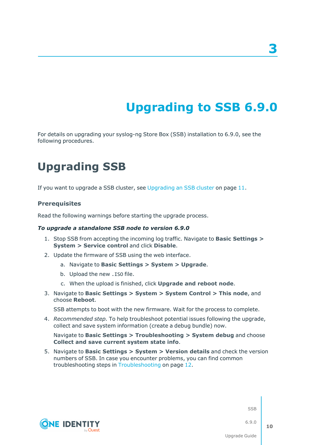# **Upgrading to SSB 6.9.0**

<span id="page-9-0"></span>For details on upgrading your syslog-ng Store Box (SSB) installation to 6.9.0, see the following procedures.

# <span id="page-9-1"></span>**Upgrading SSB**

If you want to upgrade a SSB cluster, see [Upgrading](#page-10-0) an SSB cluster on page 11.

### **Prerequisites**

Read the following warnings before starting the upgrade process.

#### *To upgrade a standalone SSB node to version 6.9.0*

- 1. Stop SSB from accepting the incoming log traffic. Navigate to **Basic Settings > System > Service control** and click **Disable**.
- 2. Update the firmware of SSB using the web interface.
	- a. Navigate to **Basic Settings > System > Upgrade**.
	- b. Upload the new .ISO file.
	- c. When the upload is finished, click **Upgrade and reboot node**.
- 3. Navigate to **Basic Settings > System > System Control > This node**, and choose **Reboot**.

SSB attempts to boot with the new firmware. Wait for the process to complete.

4. *Recommended step.* To help troubleshoot potential issues following the upgrade, collect and save system information (create a debug bundle) now.

Navigate to **Basic Settings > Troubleshooting > System debug** and choose **Collect and save current system state info**.

5. Navigate to **Basic Settings > System > Version details** and check the version numbers of SSB. In case you encounter problems, you can find common troubleshooting steps in [Troubleshooting](#page-11-0) on page 12.



SSB

6.9.0

**3**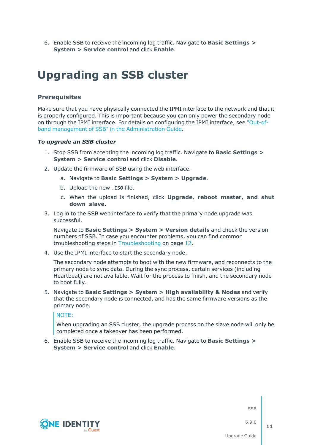6. Enable SSB to receive the incoming log traffic. Navigate to **Basic Settings > System > Service control** and click **Enable**.

# <span id="page-10-0"></span>**Upgrading an SSB cluster**

### **Prerequisites**

Make sure that you have physically connected the IPMI interface to the network and that it is properly configured. This is important because you can only power the secondary node on through the IPMI interface. For details on configuring the IPMI interface, see ["Out-of](https://support.oneidentity.com/technical-documents/syslog-ng-store-box/6.9.0/administration-guide/managing-ssb/out-of-band-management-of-ssb/)band management of SSB" in the [Administration](https://support.oneidentity.com/technical-documents/syslog-ng-store-box/6.9.0/administration-guide/managing-ssb/out-of-band-management-of-ssb/) Guide.

#### *To upgrade an SSB cluster*

- 1. Stop SSB from accepting the incoming log traffic. Navigate to **Basic Settings > System > Service control** and click **Disable**.
- 2. Update the firmware of SSB using the web interface.
	- a. Navigate to **Basic Settings > System > Upgrade**.
	- b. Upload the new .ISO file.
	- c. When the upload is finished, click **Upgrade, reboot master, and shut down slave**.
- 3. Log in to the SSB web interface to verify that the primary node upgrade was successful.

Navigate to **Basic Settings > System > Version details** and check the version numbers of SSB. In case you encounter problems, you can find common troubleshooting steps in [Troubleshooting](#page-11-0) on page 12.

4. Use the IPMI interface to start the secondary node.

The secondary node attempts to boot with the new firmware, and reconnects to the primary node to sync data. During the sync process, certain services (including Heartbeat) are not available. Wait for the process to finish, and the secondary node to boot fully.

5. Navigate to **Basic Settings > System > High availability & Nodes** and verify that the secondary node is connected, and has the same firmware versions as the primary node.

NOTE:

When upgrading an SSB cluster, the upgrade process on the slave node will only be completed once a takeover has been performed.

6. Enable SSB to receive the incoming log traffic. Navigate to **Basic Settings > System > Service control** and click **Enable**.



**SSB** 

6.9.0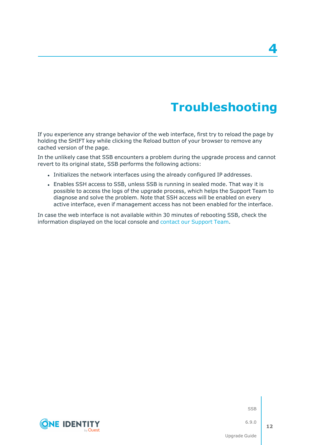# **Troubleshooting**

**4**

<span id="page-11-0"></span>If you experience any strange behavior of the web interface, first try to reload the page by holding the SHIFT key while clicking the Reload button of your browser to remove any cached version of the page.

In the unlikely case that SSB encounters a problem during the upgrade process and cannot revert to its original state, SSB performs the following actions:

- <sup>l</sup> Initializes the network interfaces using the already configured IP addresses.
- Enables SSH access to SSB, unless SSB is running in sealed mode. That way it is possible to access the logs of the upgrade process, which helps the Support Team to diagnose and solve the problem. Note that SSH access will be enabled on every active interface, even if management access has not been enabled for the interface.

In case the web interface is not available within 30 minutes of rebooting SSB, check the information displayed on the local console and contact our [Support](https://support.oneidentity.com/syslog-ng-store-box/) Team.



SSB